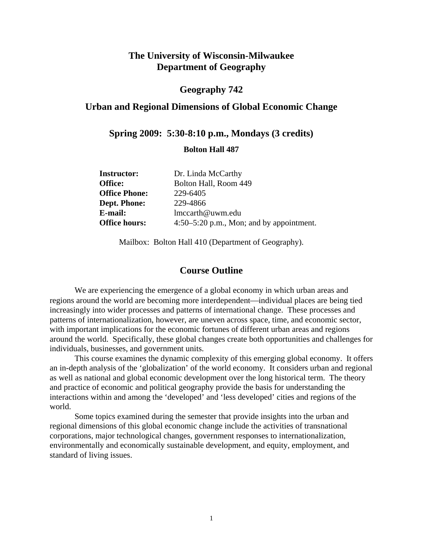# **The University of Wisconsin-Milwaukee Department of Geography**

## **Geography 742**

## **Urban and Regional Dimensions of Global Economic Change**

## **Spring 2009: 5:30-8:10 p.m., Mondays (3 credits)**

### **Bolton Hall 487**

| Dr. Linda McCarthy                         |
|--------------------------------------------|
| Bolton Hall, Room 449                      |
| 229-6405                                   |
| 229-4866                                   |
| lmccarth@uwm.edu                           |
| $4:50-5:20$ p.m., Mon; and by appointment. |
|                                            |

Mailbox: Bolton Hall 410 (Department of Geography).

### **Course Outline**

We are experiencing the emergence of a global economy in which urban areas and regions around the world are becoming more interdependent—individual places are being tied increasingly into wider processes and patterns of international change. These processes and patterns of internationalization, however, are uneven across space, time, and economic sector, with important implications for the economic fortunes of different urban areas and regions around the world. Specifically, these global changes create both opportunities and challenges for individuals, businesses, and government units.

This course examines the dynamic complexity of this emerging global economy. It offers an in-depth analysis of the 'globalization' of the world economy. It considers urban and regional as well as national and global economic development over the long historical term. The theory and practice of economic and political geography provide the basis for understanding the interactions within and among the 'developed' and 'less developed' cities and regions of the world.

Some topics examined during the semester that provide insights into the urban and regional dimensions of this global economic change include the activities of transnational corporations, major technological changes, government responses to internationalization, environmentally and economically sustainable development, and equity, employment, and standard of living issues.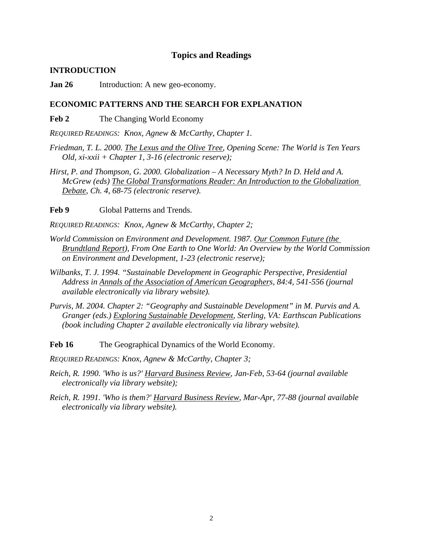## **Topics and Readings**

#### **INTRODUCTION**

**Jan 26** Introduction: A new geo-economy.

#### **ECONOMIC PATTERNS AND THE SEARCH FOR EXPLANATION**

**Feb 2** The Changing World Economy

*REQUIRED READINGS: Knox, Agnew & McCarthy, Chapter 1.* 

- *Friedman, T. L. 2000. The Lexus and the Olive Tree, Opening Scene: The World is Ten Years Old, xi-xxii + Chapter 1, 3-16 (electronic reserve);*
- *Hirst, P. and Thompson, G. 2000. Globalization A Necessary Myth? In D. Held and A. McGrew (eds) The Global Transformations Reader: An Introduction to the Globalization Debate, Ch. 4, 68-75 (electronic reserve).*

**Feb 9 Global Patterns and Trends.** 

*REQUIRED READINGS: Knox, Agnew & McCarthy, Chapter 2;* 

- *World Commission on Environment and Development. 1987. Our Common Future (the Brundtland Report), From One Earth to One World: An Overview by the World Commission on Environment and Development, 1-23 (electronic reserve);*
- *Wilbanks, T. J. 1994. "Sustainable Development in Geographic Perspective, Presidential Address in Annals of the Association of American Geographers, 84:4, 541-556 (journal available electronically via library website).*
- *Purvis, M. 2004. Chapter 2: "Geography and Sustainable Development" in M. Purvis and A. Granger (eds.) Exploring Sustainable Development, Sterling, VA: Earthscan Publications (book including Chapter 2 available electronically via library website).*

Feb 16 The Geographical Dynamics of the World Economy.

*REQUIRED READINGS: Knox, Agnew & McCarthy, Chapter 3;* 

- *Reich, R. 1990. 'Who is us?' Harvard Business Review, Jan-Feb, 53-64 (journal available electronically via library website);*
- *Reich, R. 1991. 'Who is them?' Harvard Business Review, Mar-Apr, 77-88 (journal available electronically via library website).*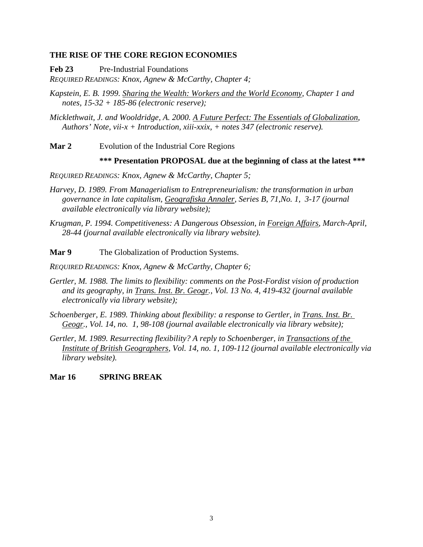### **THE RISE OF THE CORE REGION ECONOMIES**

**Feb 23** Pre-Industrial Foundations

*REQUIRED READINGS: Knox, Agnew & McCarthy, Chapter 4;* 

- *Kapstein, E. B. 1999. Sharing the Wealth: Workers and the World Economy, Chapter 1 and notes, 15-32 + 185-86 (electronic reserve);*
- *Micklethwait, J. and Wooldridge, A. 2000. A Future Perfect: The Essentials of Globalization, Authors' Note, vii-x + Introduction, xiii-xxix, + notes 347 (electronic reserve).*
- **Mar 2** Evolution of the Industrial Core Regions

### **\*\*\* Presentation PROPOSAL due at the beginning of class at the latest \*\*\***

*REQUIRED READINGS: Knox, Agnew & McCarthy, Chapter 5;* 

- *Harvey, D. 1989. From Managerialism to Entrepreneurialism: the transformation in urban governance in late capitalism, Geografiska Annaler, Series B, 71,No. 1, 3-17 (journal available electronically via library website);*
- *Krugman, P. 1994. Competitiveness: A Dangerous Obsession, in Foreign Affairs, March-April, 28-44 (journal available electronically via library website).*
- Mar 9 The Globalization of Production Systems.

*REQUIRED READINGS: Knox, Agnew & McCarthy, Chapter 6;* 

- *Gertler, M. 1988. The limits to flexibility: comments on the Post-Fordist vision of production and its geography, in Trans. Inst. Br. Geogr., Vol. 13 No. 4, 419-432 (journal available electronically via library website);*
- *Schoenberger, E. 1989. Thinking about flexibility: a response to Gertler, in Trans. Inst. Br. Geogr., Vol. 14, no. 1, 98-108 (journal available electronically via library website);*
- *Gertler, M. 1989. Resurrecting flexibility? A reply to Schoenberger, in Transactions of the Institute of British Geographers, Vol. 14, no. 1, 109-112 (journal available electronically via library website).*

### **Mar 16 SPRING BREAK**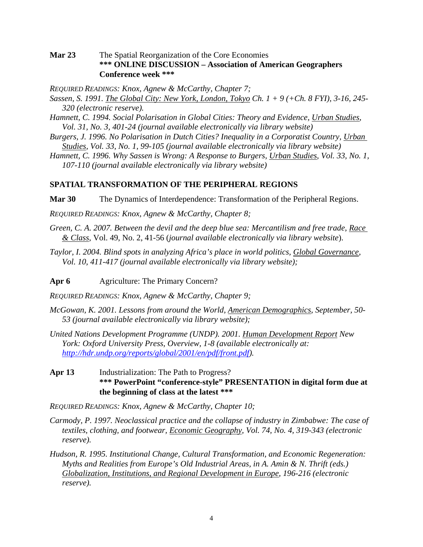**Mar 23** The Spatial Reorganization of the Core Economies **\*\*\* ONLINE DISCUSSION – Association of American Geographers Conference week \*\*\***

*REQUIRED READINGS: Knox, Agnew & McCarthy, Chapter 7;* 

- *Sassen, S. 1991. The Global City: New York, London, Tokyo Ch. 1 + 9 (+Ch. 8 FYI), 3-16, 245- 320 (electronic reserve).*
- *Hamnett, C. 1994. Social Polarisation in Global Cities: Theory and Evidence, Urban Studies, Vol. 31, No. 3, 401-24 (journal available electronically via library website)*
- *Burgers, J. 1996. No Polarisation in Dutch Cities? Inequality in a Corporatist Country, Urban Studies, Vol. 33, No. 1, 99-105 (journal available electronically via library website)*
- *Hamnett, C. 1996. Why Sassen is Wrong: A Response to Burgers, Urban Studies, Vol. 33, No. 1, 107-110 (journal available electronically via library website)*

### **SPATIAL TRANSFORMATION OF THE PERIPHERAL REGIONS**

**Mar 30** The Dynamics of Interdependence: Transformation of the Peripheral Regions.

*REQUIRED READINGS: Knox, Agnew & McCarthy, Chapter 8;* 

- *Green, C. A. 2007. Between the devil and the deep blue sea: Mercantilism and free trade, Race & Class*, Vol. 49, No. 2, 41-56 (*journal available electronically via library website*).
- *Taylor, I. 2004. Blind spots in analyzing Africa's place in world politics, Global Governance, Vol. 10, 411-417 (journal available electronically via library website);*

Apr 6 **Agriculture: The Primary Concern?** 

*REQUIRED READINGS: Knox, Agnew & McCarthy, Chapter 9;* 

- *McGowan, K. 2001. Lessons from around the World, American Demographics, September, 50- 53 (journal available electronically via library website);*
- *United Nations Development Programme (UNDP). 2001. Human Development Report New York: Oxford University Press, Overview, 1-8 (available electronically at: [http://hdr.undp.org/reports/global/2001/en/pdf/front.pdf\)](http://hdr.undp.org/reports/global/2001/en/pdf/front.pdf).*

**Apr 13** Industrialization: The Path to Progress? **\*\*\* PowerPoint "conference-style" PRESENTATION in digital form due at the beginning of class at the latest \*\*\***

*REQUIRED READINGS: Knox, Agnew & McCarthy, Chapter 10;* 

*Carmody, P. 1997. Neoclassical practice and the collapse of industry in Zimbabwe: The case of textiles, clothing, and footwear, Economic Geography, Vol. 74, No. 4, 319-343 (electronic reserve).* 

*Hudson, R. 1995. Institutional Change, Cultural Transformation, and Economic Regeneration: Myths and Realities from Europe's Old Industrial Areas, in A. Amin & N. Thrift (eds.) Globalization, Institutions, and Regional Development in Europe, 196-216 (electronic reserve).*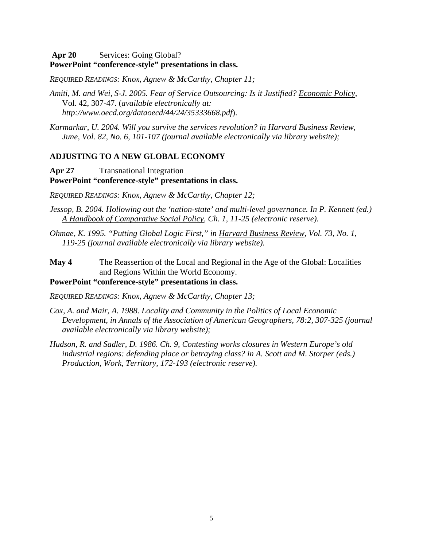## Apr 20 Services: Going Global? **PowerPoint "conference-style" presentations in class.**

*REQUIRED READINGS: Knox, Agnew & McCarthy, Chapter 11;* 

*Amiti, M. and Wei, S-J. 2005. Fear of Service Outsourcing: Is it Justified? Economic Policy*, Vol. 42, 307-47. (*available electronically at: <http://www.oecd.org/dataoecd/44/24/35333668.pdf>*).

*Karmarkar, U. 2004. Will you survive the services revolution? in Harvard Business Review, June, Vol. 82, No. 6, 101-107 (journal available electronically via library website);* 

## **ADJUSTING TO A NEW GLOBAL ECONOMY**

**Apr 27 Transnational Integration PowerPoint "conference-style" presentations in class.** 

*REQUIRED READINGS: Knox, Agnew & McCarthy, Chapter 12;* 

- *Jessop, B. 2004. Hollowing out the 'nation-state' and multi-level governance. In P. Kennett (ed.) A Handbook of Comparative Social Policy, Ch. 1, 11-25 (electronic reserve).*
- *Ohmae, K. 1995. "Putting Global Logic First," in Harvard Business Review, Vol. 73, No. 1, 119-25 (journal available electronically via library website).*

**May 4** The Reassertion of the Local and Regional in the Age of the Global: Localities and Regions Within the World Economy. **PowerPoint "conference-style" presentations in class.** 

*REQUIRED READINGS: Knox, Agnew & McCarthy, Chapter 13;* 

- *Cox, A. and Mair, A. 1988. Locality and Community in the Politics of Local Economic Development, in Annals of the Association of American Geographers, 78:2, 307-325 (journal available electronically via library website);*
- *Hudson, R. and Sadler, D. 1986. Ch. 9, Contesting works closures in Western Europe's old industrial regions: defending place or betraying class? in A. Scott and M. Storper (eds.) Production, Work, Territory, 172-193 (electronic reserve).*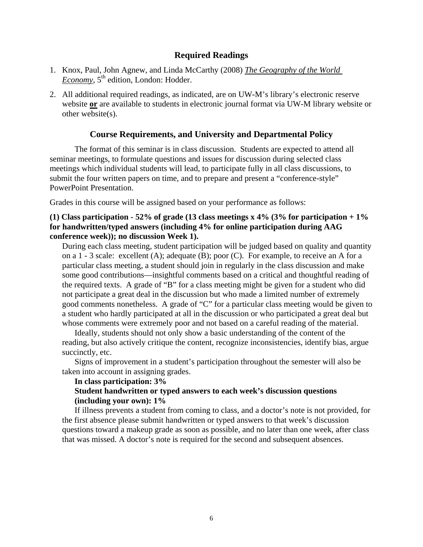# **Required Readings**

- 1. Knox, Paul, John Agnew, and Linda McCarthy (2008) *The Geography of the World Economy*, 5<sup>th</sup> edition, London: Hodder.
- 2. All additional required readings, as indicated, are on UW-M's library's electronic reserve website **or** are available to students in electronic journal format via UW-M library website or other website(s).

## **Course Requirements, and University and Departmental Policy**

 The format of this seminar is in class discussion. Students are expected to attend all seminar meetings, to formulate questions and issues for discussion during selected class meetings which individual students will lead, to participate fully in all class discussions, to submit the four written papers on time, and to prepare and present a "conference-style" PowerPoint Presentation.

Grades in this course will be assigned based on your performance as follows:

### **(1) Class participation - 52% of grade (13 class meetings x 4% (3% for participation + 1% for handwritten/typed answers (including 4% for online participation during AAG conference week)); no discussion Week 1).**

During each class meeting, student participation will be judged based on quality and quantity on a 1 - 3 scale: excellent (A); adequate (B); poor (C). For example, to receive an A for a particular class meeting, a student should join in regularly in the class discussion and make some good contributions—insightful comments based on a critical and thoughtful reading of the required texts. A grade of "B" for a class meeting might be given for a student who did not participate a great deal in the discussion but who made a limited number of extremely good comments nonetheless. A grade of "C" for a particular class meeting would be given to a student who hardly participated at all in the discussion or who participated a great deal but whose comments were extremely poor and not based on a careful reading of the material.

 Ideally, students should not only show a basic understanding of the content of the reading, but also actively critique the content, recognize inconsistencies, identify bias, argue succinctly, etc.

Signs of improvement in a student's participation throughout the semester will also be taken into account in assigning grades.

#### **In class participation: 3%**

### **Student handwritten or typed answers to each week's discussion questions (including your own): 1%**

If illness prevents a student from coming to class, and a doctor's note is not provided, for the first absence please submit handwritten or typed answers to that week's discussion questions toward a makeup grade as soon as possible, and no later than one week, after class that was missed. A doctor's note is required for the second and subsequent absences.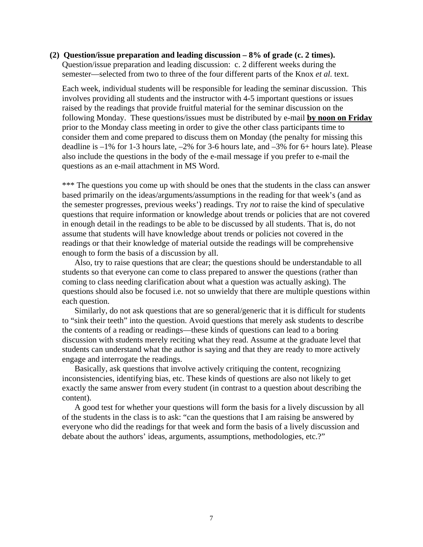#### **(2) Question/issue preparation and leading discussion – 8% of grade (c. 2 times).**  Question/issue preparation and leading discussion: c. 2 different weeks during the

semester—selected from two to three of the four different parts of the Knox *et al.* text.

Each week, individual students will be responsible for leading the seminar discussion. This involves providing all students and the instructor with 4-5 important questions or issues raised by the readings that provide fruitful material for the seminar discussion on the following Monday. These questions/issues must be distributed by e-mail **by noon on Friday** prior to the Monday class meeting in order to give the other class participants time to consider them and come prepared to discuss them on Monday (the penalty for missing this deadline is –1% for 1-3 hours late, –2% for 3-6 hours late, and –3% for 6+ hours late). Please also include the questions in the body of the e-mail message if you prefer to e-mail the questions as an e-mail attachment in MS Word.

\*\*\* The questions you come up with should be ones that the students in the class can answer based primarily on the ideas/arguments/assumptions in the reading for that week's (and as the semester progresses, previous weeks') readings. Try *not* to raise the kind of speculative questions that require information or knowledge about trends or policies that are not covered in enough detail in the readings to be able to be discussed by all students. That is, do not assume that students will have knowledge about trends or policies not covered in the readings or that their knowledge of material outside the readings will be comprehensive enough to form the basis of a discussion by all.

Also, try to raise questions that are clear; the questions should be understandable to all students so that everyone can come to class prepared to answer the questions (rather than coming to class needing clarification about what a question was actually asking). The questions should also be focused i.e. not so unwieldy that there are multiple questions within each question.

Similarly, do not ask questions that are so general/generic that it is difficult for students to "sink their teeth" into the question. Avoid questions that merely ask students to describe the contents of a reading or readings—these kinds of questions can lead to a boring discussion with students merely reciting what they read. Assume at the graduate level that students can understand what the author is saying and that they are ready to more actively engage and interrogate the readings.

Basically, ask questions that involve actively critiquing the content, recognizing inconsistencies, identifying bias, etc. These kinds of questions are also not likely to get exactly the same answer from every student (in contrast to a question about describing the content).

A good test for whether your questions will form the basis for a lively discussion by all of the students in the class is to ask: "can the questions that I am raising be answered by everyone who did the readings for that week and form the basis of a lively discussion and debate about the authors' ideas, arguments, assumptions, methodologies, etc.?"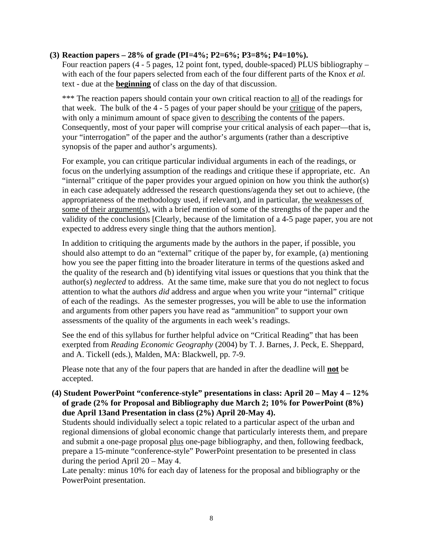## **(3) Reaction papers – 28% of grade (PI=4%; P2=6%; P3=8%; P4=10%).**

Four reaction papers (4 - 5 pages, 12 point font, typed, double-spaced) PLUS bibliography – with each of the four papers selected from each of the four different parts of the Knox *et al.* text - due at the **beginning** of class on the day of that discussion.

\*\*\* The reaction papers should contain your own critical reaction to all of the readings for that week. The bulk of the 4 - 5 pages of your paper should be your critique of the papers, with only a minimum amount of space given to describing the contents of the papers. Consequently, most of your paper will comprise your critical analysis of each paper—that is, your "interrogation" of the paper and the author's arguments (rather than a descriptive synopsis of the paper and author's arguments).

For example, you can critique particular individual arguments in each of the readings, or focus on the underlying assumption of the readings and critique these if appropriate, etc. An "internal" critique of the paper provides your argued opinion on how you think the author(s) in each case adequately addressed the research questions/agenda they set out to achieve, (the appropriateness of the methodology used, if relevant), and in particular, the weaknesses of some of their argument(s), with a brief mention of some of the strengths of the paper and the validity of the conclusions [Clearly, because of the limitation of a 4-5 page paper, you are not expected to address every single thing that the authors mention].

In addition to critiquing the arguments made by the authors in the paper, if possible, you should also attempt to do an "external" critique of the paper by, for example, (a) mentioning how you see the paper fitting into the broader literature in terms of the questions asked and the quality of the research and (b) identifying vital issues or questions that you think that the author(s) *neglected* to address. At the same time, make sure that you do not neglect to focus attention to what the authors *did* address and argue when you write your "internal" critique of each of the readings. As the semester progresses, you will be able to use the information and arguments from other papers you have read as "ammunition" to support your own assessments of the quality of the arguments in each week's readings.

See the end of this syllabus for further helpful advice on "Critical Reading" that has been exerpted from *Reading Economic Geography* (2004) by T. J. Barnes, J. Peck, E. Sheppard, and A. Tickell (eds.), Malden, MA: Blackwell, pp. 7-9.

Please note that any of the four papers that are handed in after the deadline will **not** be accepted.

 **(4) Student PowerPoint "conference-style" presentations in class: April 20 – May 4 – 12% of grade (2% for Proposal and Bibliography due March 2; 10% for PowerPoint (8%) due April 13and Presentation in class (2%) April 20-May 4).** 

Students should individually select a topic related to a particular aspect of the urban and regional dimensions of global economic change that particularly interests them, and prepare and submit a one-page proposal plus one-page bibliography, and then, following feedback, prepare a 15-minute "conference-style" PowerPoint presentation to be presented in class during the period April 20 – May 4.

Late penalty: minus 10% for each day of lateness for the proposal and bibliography or the PowerPoint presentation.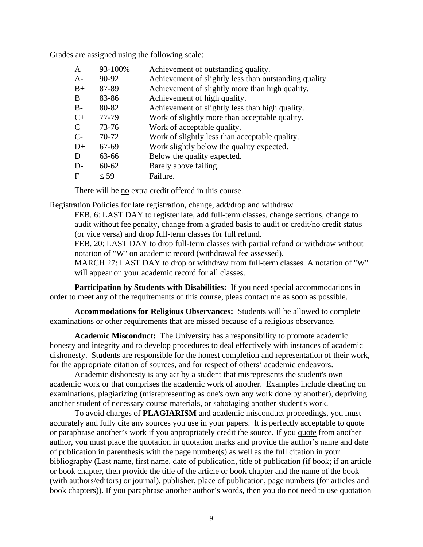Grades are assigned using the following scale:

| A       | 93-100%   | Achievement of outstanding quality.                    |
|---------|-----------|--------------------------------------------------------|
| $A-$    | 90-92     | Achievement of slightly less than outstanding quality. |
| $B+$    | 87-89     | Achievement of slightly more than high quality.        |
| B       | 83-86     | Achievement of high quality.                           |
| $B-$    | 80-82     | Achievement of slightly less than high quality.        |
| $C_{+}$ | 77-79     | Work of slightly more than acceptable quality.         |
| C       | $73 - 76$ | Work of acceptable quality.                            |
| $C-$    | $70-72$   | Work of slightly less than acceptable quality.         |
| $D+$    | 67-69     | Work slightly below the quality expected.              |
| D       | 63-66     | Below the quality expected.                            |
| $D-$    | $60 - 62$ | Barely above failing.                                  |
| F       | $\leq$ 59 | Failure.                                               |

There will be no extra credit offered in this course.

Registration Policies for late registration, change, add/drop and withdraw

FEB. 6: LAST DAY to register late, add full-term classes, change sections, change to audit without fee penalty, change from a graded basis to audit or credit/no credit status (or vice versa) and drop full-term classes for full refund.

FEB. 20: LAST DAY to drop full-term classes with partial refund or withdraw without notation of "W" on academic record (withdrawal fee assessed).

MARCH 27: LAST DAY to drop or withdraw from full-term classes. A notation of "W" will appear on your academic record for all classes.

**Participation by Students with Disabilities:** If you need special accommodations in order to meet any of the requirements of this course, pleas contact me as soon as possible.

**Accommodations for Religious Observances:** Students will be allowed to complete examinations or other requirements that are missed because of a religious observance.

**Academic Misconduct:** The University has a responsibility to promote academic honesty and integrity and to develop procedures to deal effectively with instances of academic dishonesty. Students are responsible for the honest completion and representation of their work, for the appropriate citation of sources, and for respect of others' academic endeavors.

 Academic dishonesty is any act by a student that misrepresents the student's own academic work or that comprises the academic work of another. Examples include cheating on examinations, plagiarizing (misrepresenting as one's own any work done by another), depriving another student of necessary course materials, or sabotaging another student's work.

 To avoid charges of **PLAGIARISM** and academic misconduct proceedings, you must accurately and fully cite any sources you use in your papers. It is perfectly acceptable to quote or paraphrase another's work if you appropriately credit the source. If you quote from another author, you must place the quotation in quotation marks and provide the author's name and date of publication in parenthesis with the page number(s) as well as the full citation in your bibliography (Last name, first name, date of publication, title of publication (if book; if an article or book chapter, then provide the title of the article or book chapter and the name of the book (with authors/editors) or journal), publisher, place of publication, page numbers (for articles and book chapters)). If you paraphrase another author's words, then you do not need to use quotation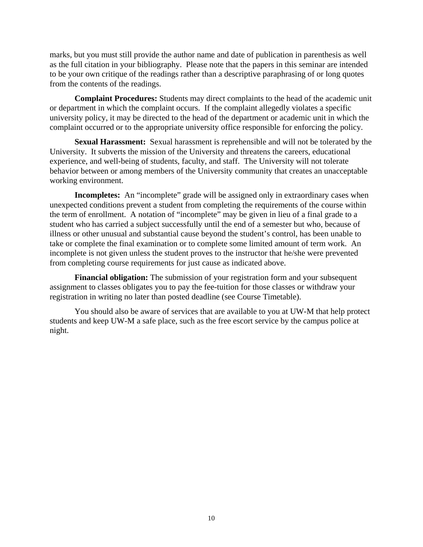marks, but you must still provide the author name and date of publication in parenthesis as well as the full citation in your bibliography. Please note that the papers in this seminar are intended to be your own critique of the readings rather than a descriptive paraphrasing of or long quotes from the contents of the readings.

**Complaint Procedures:** Students may direct complaints to the head of the academic unit or department in which the complaint occurs. If the complaint allegedly violates a specific university policy, it may be directed to the head of the department or academic unit in which the complaint occurred or to the appropriate university office responsible for enforcing the policy.

**Sexual Harassment:** Sexual harassment is reprehensible and will not be tolerated by the University. It subverts the mission of the University and threatens the careers, educational experience, and well-being of students, faculty, and staff. The University will not tolerate behavior between or among members of the University community that creates an unacceptable working environment.

**Incompletes:** An "incomplete" grade will be assigned only in extraordinary cases when unexpected conditions prevent a student from completing the requirements of the course within the term of enrollment. A notation of "incomplete" may be given in lieu of a final grade to a student who has carried a subject successfully until the end of a semester but who, because of illness or other unusual and substantial cause beyond the student's control, has been unable to take or complete the final examination or to complete some limited amount of term work. An incomplete is not given unless the student proves to the instructor that he/she were prevented from completing course requirements for just cause as indicated above.

**Financial obligation:** The submission of your registration form and your subsequent assignment to classes obligates you to pay the fee-tuition for those classes or withdraw your registration in writing no later than posted deadline (see Course Timetable).

 You should also be aware of services that are available to you at UW-M that help protect students and keep UW-M a safe place, such as the free escort service by the campus police at night.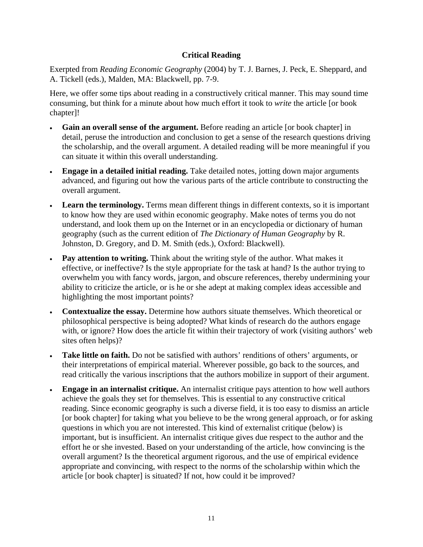# **Critical Reading**

Exerpted from *Reading Economic Geography* (2004) by T. J. Barnes, J. Peck, E. Sheppard, and A. Tickell (eds.), Malden, MA: Blackwell, pp. 7-9.

Here, we offer some tips about reading in a constructively critical manner. This may sound time consuming, but think for a minute about how much effort it took to *write* the article [or book chapter]!

- **Gain an overall sense of the argument.** Before reading an article [or book chapter] in detail, peruse the introduction and conclusion to get a sense of the research questions driving the scholarship, and the overall argument. A detailed reading will be more meaningful if you can situate it within this overall understanding.
- **Engage in a detailed initial reading.** Take detailed notes, jotting down major arguments advanced, and figuring out how the various parts of the article contribute to constructing the overall argument.
- **Learn the terminology.** Terms mean different things in different contexts, so it is important to know how they are used within economic geography. Make notes of terms you do not understand, and look them up on the Internet or in an encyclopedia or dictionary of human geography (such as the current edition of *The Dictionary of Human Geography* by R. Johnston, D. Gregory, and D. M. Smith (eds.), Oxford: Blackwell).
- **Pay attention to writing.** Think about the writing style of the author. What makes it effective, or ineffective? Is the style appropriate for the task at hand? Is the author trying to overwhelm you with fancy words, jargon, and obscure references, thereby undermining your ability to criticize the article, or is he or she adept at making complex ideas accessible and highlighting the most important points?
- **Contextualize the essay.** Determine how authors situate themselves. Which theoretical or philosophical perspective is being adopted? What kinds of research do the authors engage with, or ignore? How does the article fit within their trajectory of work (visiting authors' web sites often helps)?
- **Take little on faith.** Do not be satisfied with authors' renditions of others' arguments, or their interpretations of empirical material. Wherever possible, go back to the sources, and read critically the various inscriptions that the authors mobilize in support of their argument.
- **Engage in an internalist critique.** An internalist critique pays attention to how well authors achieve the goals they set for themselves. This is essential to any constructive critical reading. Since economic geography is such a diverse field, it is too easy to dismiss an article [or book chapter] for taking what you believe to be the wrong general approach, or for asking questions in which you are not interested. This kind of externalist critique (below) is important, but is insufficient. An internalist critique gives due respect to the author and the effort he or she invested. Based on your understanding of the article, how convincing is the overall argument? Is the theoretical argument rigorous, and the use of empirical evidence appropriate and convincing, with respect to the norms of the scholarship within which the article [or book chapter] is situated? If not, how could it be improved?